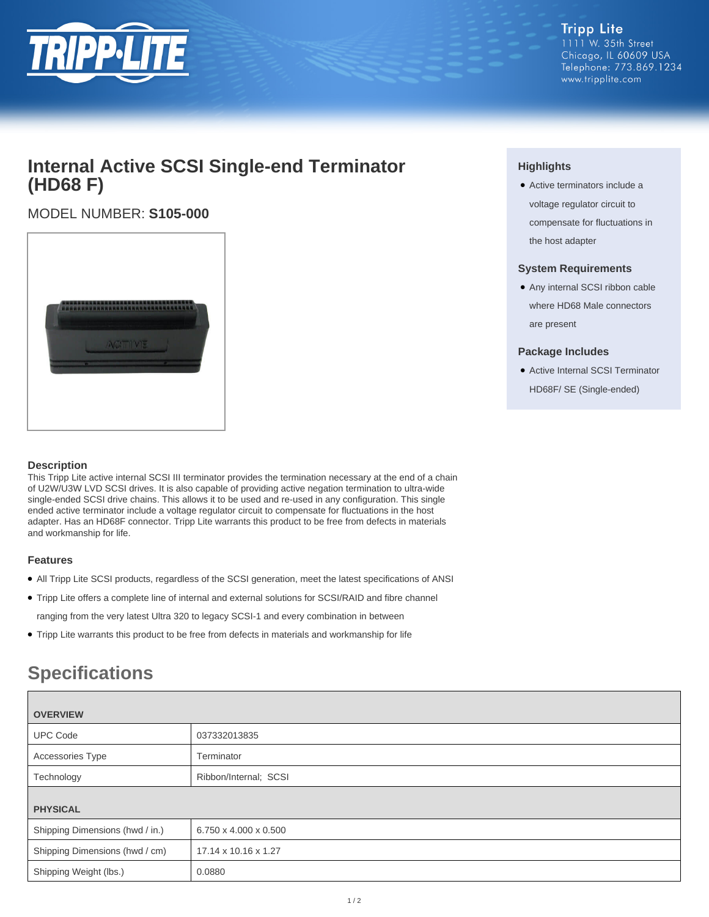

#### **Tripp Lite** 1111 W. 35th Street Chicago, IL 60609 USA Telephone: 773.869.1234 www.tripplite.com

## **Internal Active SCSI Single-end Terminator (HD68 F)**

### MODEL NUMBER: **S105-000**



#### **Description**

This Tripp Lite active internal SCSI III terminator provides the termination necessary at the end of a chain of U2W/U3W LVD SCSI drives. It is also capable of providing active negation termination to ultra-wide single-ended SCSI drive chains. This allows it to be used and re-used in any configuration. This single ended active terminator include a voltage regulator circuit to compensate for fluctuations in the host adapter. Has an HD68F connector. Tripp Lite warrants this product to be free from defects in materials and workmanship for life.

#### **Features**

- All Tripp Lite SCSI products, regardless of the SCSI generation, meet the latest specifications of ANSI
- Tripp Lite offers a complete line of internal and external solutions for SCSI/RAID and fibre channel ranging from the very latest Ultra 320 to legacy SCSI-1 and every combination in between
- Tripp Lite warrants this product to be free from defects in materials and workmanship for life

# **Specifications**

| <b>OVERVIEW</b>                 |                       |
|---------------------------------|-----------------------|
| <b>UPC Code</b>                 | 037332013835          |
| Accessories Type                | Terminator            |
| Technology                      | Ribbon/Internal; SCSI |
| <b>PHYSICAL</b>                 |                       |
| Shipping Dimensions (hwd / in.) | 6.750 x 4.000 x 0.500 |
| Shipping Dimensions (hwd / cm)  | 17.14 x 10.16 x 1.27  |
| Shipping Weight (lbs.)          | 0.0880                |

#### **Highlights**

• Active terminators include a voltage regulator circuit to compensate for fluctuations in the host adapter

#### **System Requirements**

● Any internal SCSI ribbon cable where HD68 Male connectors are present

#### **Package Includes**

● Active Internal SCSI Terminator HD68F/ SE (Single-ended)